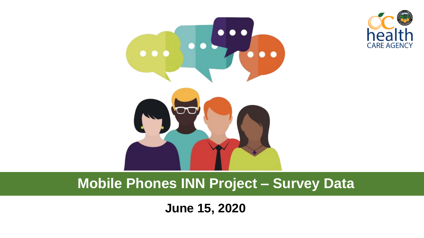



#### **Mobile Phones INN Project – Survey Data**

**June 15, 2020**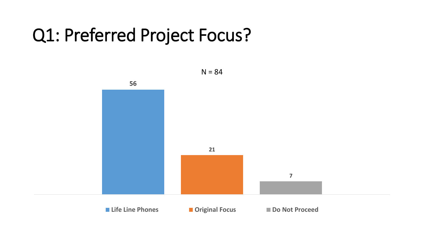#### Q1: Preferred Project Focus?

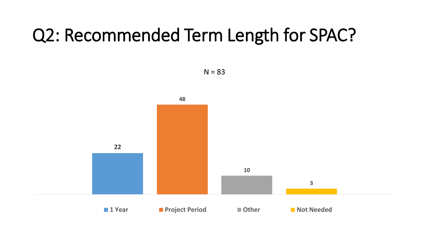### Q2: Recommended Term Length for SPAC?



 $N = 83$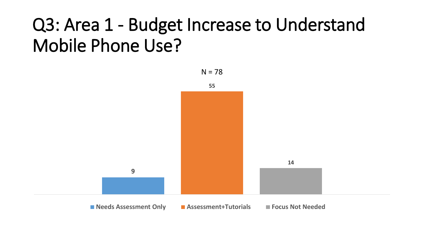## Q3: Area 1 - Budget Increase to Understand Mobile Phone Use?

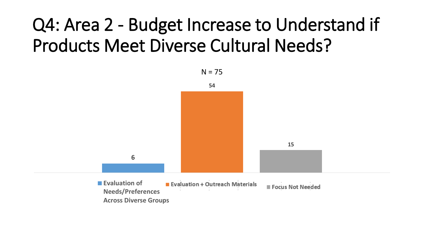# Q4: Area 2 - Budget Increase to Understand if Products Meet Diverse Cultural Needs?

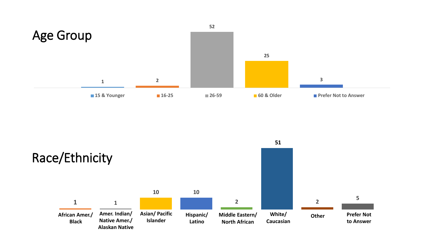

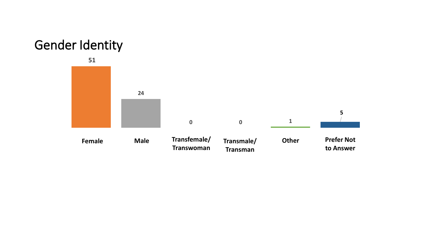